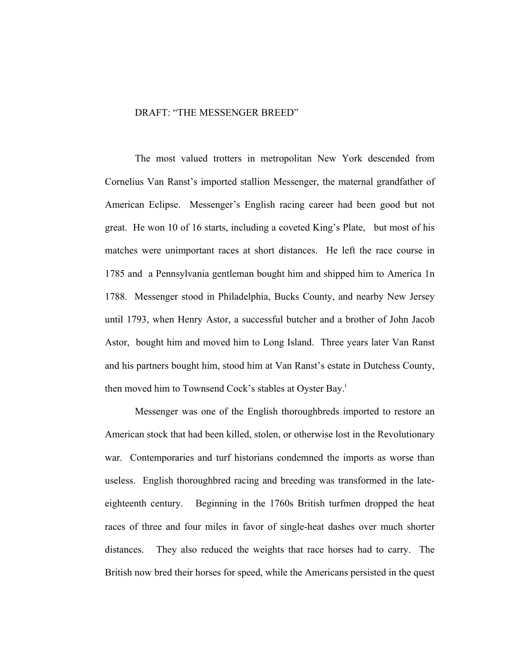## DRAFT: "THE MESSENGER BREED"

The most valued trotters in metropolitan New York descended from Cornelius Van Ranst's imported stallion Messenger, the maternal grandfather of American Eclipse. Messenger's English racing career had been good but not great. He won 10 of 16 starts, including a coveted King's Plate, but most of his matches were unimportant races at short distances. He left the race course in 1785 and a Pennsylvania gentleman bought him and shipped him to America 1n 1788. Messenger stood in Philadelphia, Bucks County, and nearby New Jersey until 1793, when Henry Astor, a successful butcher and a brother of John Jacob Astor, bought him and moved him to Long Island. Three years later Van Ranst and his partners bought him, stood him at Van Ranst's estate in Dutchess County, then moved him to Townsend Cock's stables at Oyster Bay.<sup>1</sup>

Messenger was one of the English thoroughbreds imported to restore an American stock that had been killed, stolen, or otherwise lost in the Revolutionary war. Contemporaries and turf historians condemned the imports as worse than useless. English thoroughbred racing and breeding was transformed in the lateeighteenth century. Beginning in the 1760s British turfmen dropped the heat races of three and four miles in favor of single-heat dashes over much shorter distances. They also reduced the weights that race horses had to carry. The British now bred their horses for speed, while the Americans persisted in the quest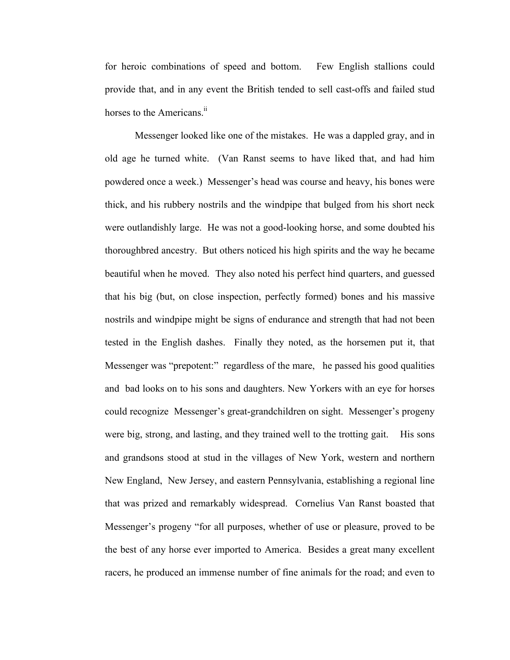for heroic combinations of speed and bottom. Few English stallions could provide that, and in any event the British tended to sell cast-offs and failed stud horses to the Americans.<sup>ii</sup>

Messenger looked like one of the mistakes. He was a dappled gray, and in old age he turned white. (Van Ranst seems to have liked that, and had him powdered once a week.) Messenger's head was course and heavy, his bones were thick, and his rubbery nostrils and the windpipe that bulged from his short neck were outlandishly large. He was not a good-looking horse, and some doubted his thoroughbred ancestry. But others noticed his high spirits and the way he became beautiful when he moved. They also noted his perfect hind quarters, and guessed that his big (but, on close inspection, perfectly formed) bones and his massive nostrils and windpipe might be signs of endurance and strength that had not been tested in the English dashes. Finally they noted, as the horsemen put it, that Messenger was "prepotent:" regardless of the mare, he passed his good qualities and bad looks on to his sons and daughters. New Yorkers with an eye for horses could recognize Messenger's great-grandchildren on sight. Messenger's progeny were big, strong, and lasting, and they trained well to the trotting gait. His sons and grandsons stood at stud in the villages of New York, western and northern New England, New Jersey, and eastern Pennsylvania, establishing a regional line that was prized and remarkably widespread. Cornelius Van Ranst boasted that Messenger's progeny "for all purposes, whether of use or pleasure, proved to be the best of any horse ever imported to America. Besides a great many excellent racers, he produced an immense number of fine animals for the road; and even to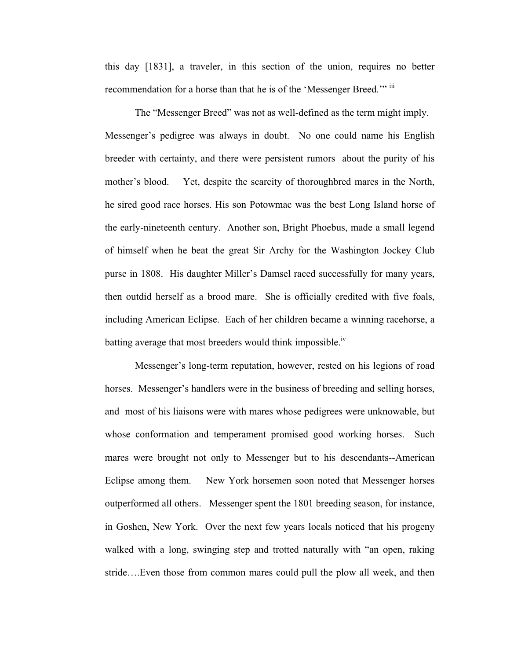this day [1831], a traveler, in this section of the union, requires no better recommendation for a horse than that he is of the 'Messenger Breed.'" iii

The "Messenger Breed" was not as well-defined as the term might imply. Messenger's pedigree was always in doubt. No one could name his English breeder with certainty, and there were persistent rumors about the purity of his mother's blood. Yet, despite the scarcity of thoroughbred mares in the North, he sired good race horses. His son Potowmac was the best Long Island horse of the early-nineteenth century. Another son, Bright Phoebus, made a small legend of himself when he beat the great Sir Archy for the Washington Jockey Club purse in 1808. His daughter Miller's Damsel raced successfully for many years, then outdid herself as a brood mare. She is officially credited with five foals, including American Eclipse. Each of her children became a winning racehorse, a batting average that most breeders would think impossible.<sup>iv</sup>

Messenger's long-term reputation, however, rested on his legions of road horses. Messenger's handlers were in the business of breeding and selling horses, and most of his liaisons were with mares whose pedigrees were unknowable, but whose conformation and temperament promised good working horses. Such mares were brought not only to Messenger but to his descendants--American Eclipse among them. New York horsemen soon noted that Messenger horses outperformed all others. Messenger spent the 1801 breeding season, for instance, in Goshen, New York. Over the next few years locals noticed that his progeny walked with a long, swinging step and trotted naturally with "an open, raking stride….Even those from common mares could pull the plow all week, and then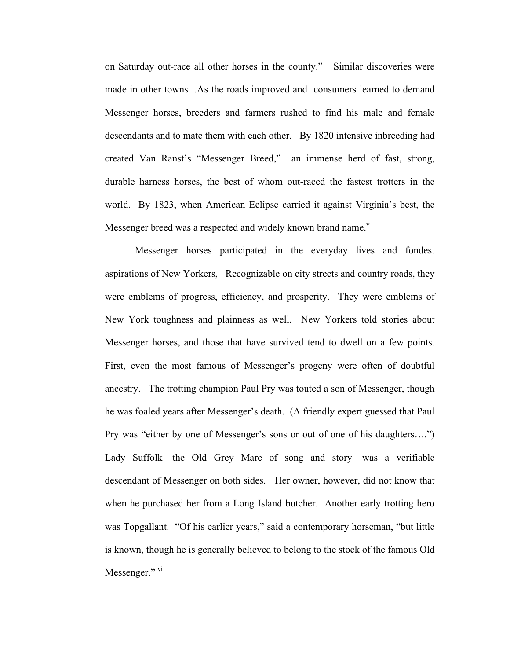on Saturday out-race all other horses in the county." Similar discoveries were made in other towns .As the roads improved and consumers learned to demand Messenger horses, breeders and farmers rushed to find his male and female descendants and to mate them with each other. By 1820 intensive inbreeding had created Van Ranst's "Messenger Breed," an immense herd of fast, strong, durable harness horses, the best of whom out-raced the fastest trotters in the world. By 1823, when American Eclipse carried it against Virginia's best, the Messenger breed was a respected and widely known brand name.<sup>v</sup>

Messenger horses participated in the everyday lives and fondest aspirations of New Yorkers, Recognizable on city streets and country roads, they were emblems of progress, efficiency, and prosperity. They were emblems of New York toughness and plainness as well. New Yorkers told stories about Messenger horses, and those that have survived tend to dwell on a few points. First, even the most famous of Messenger's progeny were often of doubtful ancestry. The trotting champion Paul Pry was touted a son of Messenger, though he was foaled years after Messenger's death. (A friendly expert guessed that Paul Pry was "either by one of Messenger's sons or out of one of his daughters….") Lady Suffolk—the Old Grey Mare of song and story—was a verifiable descendant of Messenger on both sides. Her owner, however, did not know that when he purchased her from a Long Island butcher. Another early trotting hero was Topgallant. "Of his earlier years," said a contemporary horseman, "but little is known, though he is generally believed to belong to the stock of the famous Old Messenger." vi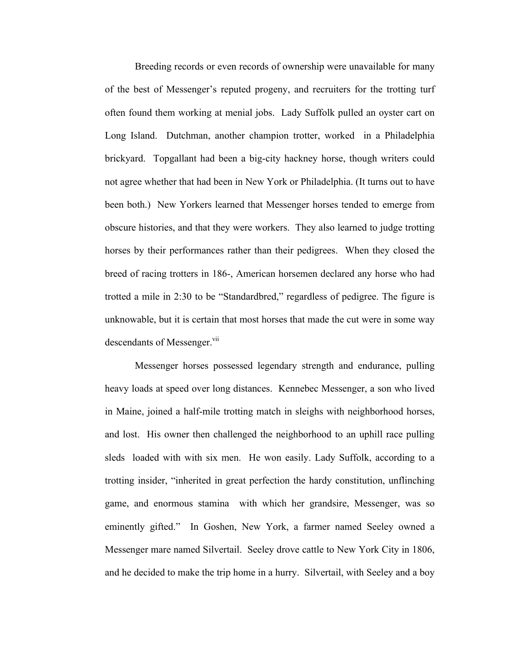Breeding records or even records of ownership were unavailable for many of the best of Messenger's reputed progeny, and recruiters for the trotting turf often found them working at menial jobs. Lady Suffolk pulled an oyster cart on Long Island. Dutchman, another champion trotter, worked in a Philadelphia brickyard. Topgallant had been a big-city hackney horse, though writers could not agree whether that had been in New York or Philadelphia. (It turns out to have been both.) New Yorkers learned that Messenger horses tended to emerge from obscure histories, and that they were workers. They also learned to judge trotting horses by their performances rather than their pedigrees. When they closed the breed of racing trotters in 186-, American horsemen declared any horse who had trotted a mile in 2:30 to be "Standardbred," regardless of pedigree. The figure is unknowable, but it is certain that most horses that made the cut were in some way descendants of Messenger.<sup>vii</sup>

Messenger horses possessed legendary strength and endurance, pulling heavy loads at speed over long distances. Kennebec Messenger, a son who lived in Maine, joined a half-mile trotting match in sleighs with neighborhood horses, and lost. His owner then challenged the neighborhood to an uphill race pulling sleds loaded with with six men. He won easily. Lady Suffolk, according to a trotting insider, "inherited in great perfection the hardy constitution, unflinching game, and enormous stamina with which her grandsire, Messenger, was so eminently gifted." In Goshen, New York, a farmer named Seeley owned a Messenger mare named Silvertail. Seeley drove cattle to New York City in 1806, and he decided to make the trip home in a hurry. Silvertail, with Seeley and a boy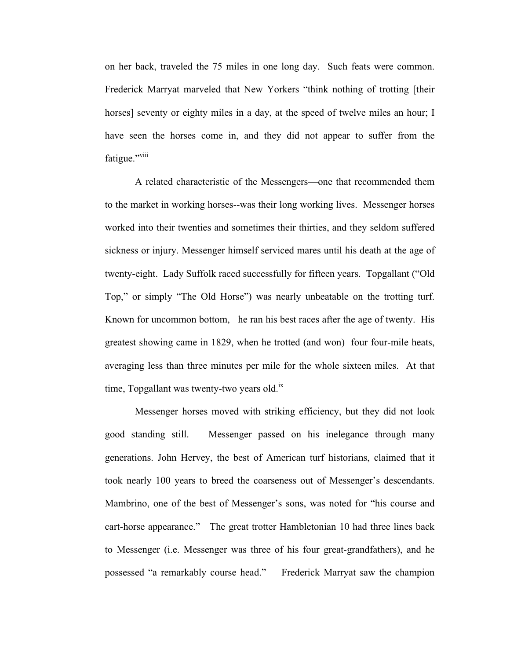on her back, traveled the 75 miles in one long day. Such feats were common. Frederick Marryat marveled that New Yorkers "think nothing of trotting [their horses] seventy or eighty miles in a day, at the speed of twelve miles an hour; I have seen the horses come in, and they did not appear to suffer from the fatigue."<sup>viii</sup>

A related characteristic of the Messengers—one that recommended them to the market in working horses--was their long working lives. Messenger horses worked into their twenties and sometimes their thirties, and they seldom suffered sickness or injury. Messenger himself serviced mares until his death at the age of twenty-eight. Lady Suffolk raced successfully for fifteen years. Topgallant ("Old Top," or simply "The Old Horse") was nearly unbeatable on the trotting turf. Known for uncommon bottom, he ran his best races after the age of twenty. His greatest showing came in 1829, when he trotted (and won) four four-mile heats, averaging less than three minutes per mile for the whole sixteen miles. At that time, Topgallant was twenty-two years old.<sup>ix</sup>

Messenger horses moved with striking efficiency, but they did not look good standing still. Messenger passed on his inelegance through many generations. John Hervey, the best of American turf historians, claimed that it took nearly 100 years to breed the coarseness out of Messenger's descendants. Mambrino, one of the best of Messenger's sons, was noted for "his course and cart-horse appearance." The great trotter Hambletonian 10 had three lines back to Messenger (i.e. Messenger was three of his four great-grandfathers), and he possessed "a remarkably course head." Frederick Marryat saw the champion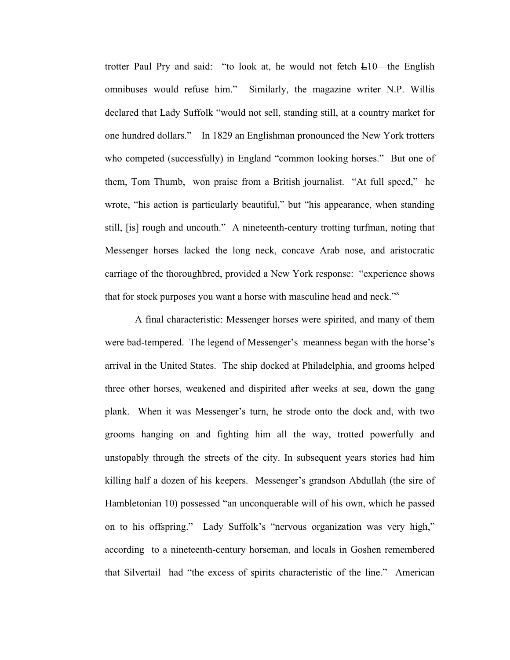trotter Paul Pry and said: "to look at, he would not fetch L10—the English omnibuses would refuse him." Similarly, the magazine writer N.P. Willis declared that Lady Suffolk "would not sell, standing still, at a country market for one hundred dollars." In 1829 an Englishman pronounced the New York trotters who competed (successfully) in England "common looking horses." But one of them, Tom Thumb, won praise from a British journalist. "At full speed," he wrote, "his action is particularly beautiful," but "his appearance, when standing still, [is] rough and uncouth." A nineteenth-century trotting turfman, noting that Messenger horses lacked the long neck, concave Arab nose, and aristocratic carriage of the thoroughbred, provided a New York response: "experience shows that for stock purposes you want a horse with masculine head and neck."<sup>x</sup>

A final characteristic: Messenger horses were spirited, and many of them were bad-tempered. The legend of Messenger's meanness began with the horse's arrival in the United States. The ship docked at Philadelphia, and grooms helped three other horses, weakened and dispirited after weeks at sea, down the gang plank. When it was Messenger's turn, he strode onto the dock and, with two grooms hanging on and fighting him all the way, trotted powerfully and unstopably through the streets of the city. In subsequent years stories had him killing half a dozen of his keepers. Messenger's grandson Abdullah (the sire of Hambletonian 10) possessed "an unconquerable will of his own, which he passed on to his offspring." Lady Suffolk's "nervous organization was very high," according to a nineteenth-century horseman, and locals in Goshen remembered that Silvertail had "the excess of spirits characteristic of the line." American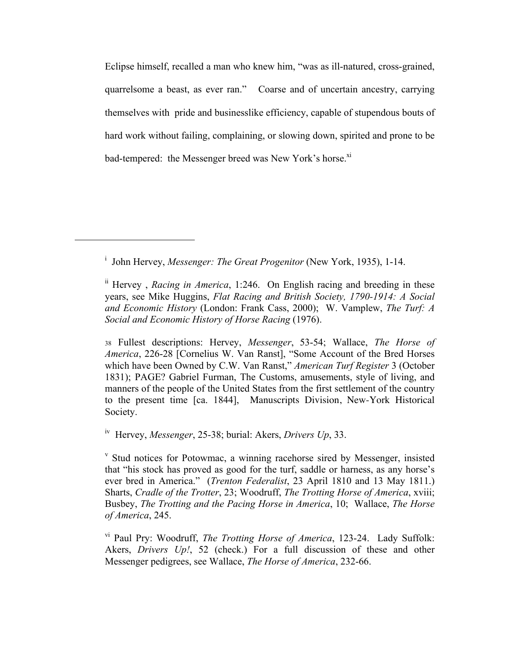Eclipse himself, recalled a man who knew him, "was as ill-natured, cross-grained, quarrelsome a beast, as ever ran." Coarse and of uncertain ancestry, carrying themselves with pride and businesslike efficiency, capable of stupendous bouts of hard work without failing, complaining, or slowing down, spirited and prone to be bad-tempered: the Messenger breed was New York's horse.<sup>xi</sup>

<sup>i</sup> John Hervey, *Messenger: The Great Progenitor* (New York, 1935), 1-14.

ii Hervey , *Racing in America*, 1:246. On English racing and breeding in these years, see Mike Huggins, *Flat Racing and British Society, 1790-1914: A Social and Economic History* (London: Frank Cass, 2000); W. Vamplew, *The Turf: A Social and Economic History of Horse Racing* (1976).

<sup>38</sup> Fullest descriptions: Hervey, *Messenger*, 53-54; Wallace, *The Horse of America*, 226-28 [Cornelius W. Van Ranst], "Some Account of the Bred Horses which have been Owned by C.W. Van Ranst," *American Turf Register* 3 (October 1831); PAGE? Gabriel Furman, The Customs, amusements, style of living, and manners of the people of the United States from the first settlement of the country to the present time [ca. 1844], Manuscripts Division, New-York Historical Society.

iv Hervey, *Messenger*, 25-38; burial: Akers, *Drivers Up*, 33.

<sup>v</sup> Stud notices for Potowmac, a winning racehorse sired by Messenger, insisted that "his stock has proved as good for the turf, saddle or harness, as any horse's ever bred in America."(*Trenton Federalist*, 23 April 1810 and 13 May 1811.) Sharts, *Cradle of the Trotter*, 23; Woodruff, *The Trotting Horse of America*, xviii; Busbey, *The Trotting and the Pacing Horse in America*, 10; Wallace, *The Horse of America*, 245.

vi Paul Pry: Woodruff, *The Trotting Horse of America*, 123-24. Lady Suffolk: Akers, *Drivers Up!*, 52 (check.) For a full discussion of these and other Messenger pedigrees, see Wallace, *The Horse of America*, 232-66.